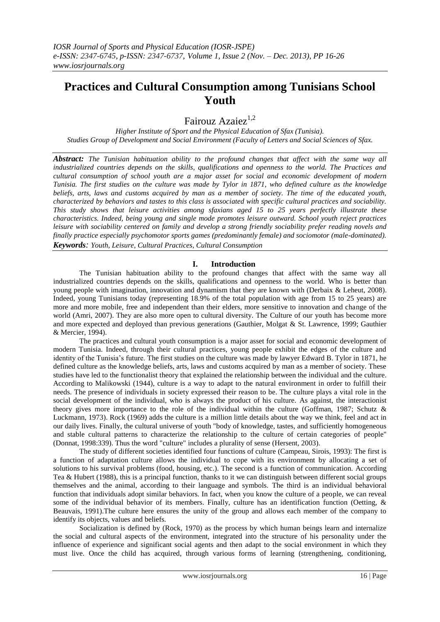# **Practices and Cultural Consumption among Tunisians School Youth**

Fairouz Azaiez<sup>1,2</sup>

*Higher Institute of Sport and the Physical Education of Sfax (Tunisia). Studies Group of Development and Social Environment (Faculty of Letters and Social Sciences of Sfax.*

*Abstract: The Tunisian habituation ability to the profound changes that affect with the same way all industrialized countries depends on the skills, qualifications and openness to the world. The Practices and cultural consumption of school youth are a major asset for social and economic development of modern Tunisia. The first studies on the culture was made by Tylor in 1871, who defined culture as the knowledge beliefs, arts, laws and customs acquired by man as a member of society. The time of the educated youth, characterized by behaviors and tastes to this class is associated with specific cultural practices and sociability. This study shows that leisure activities among sfaxians aged 15 to 25 years perfectly illustrate these characteristics. Indeed, being young and single mode promotes leisure outward. School youth reject practices leisure with sociability centered on family and develop a strong friendly sociability prefer reading novels and finally practice especially psychomotor sports games (predominantly female) and sociomotor (male-dominated). Keywords: Youth, Leisure, Cultural Practices, Cultural Consumption*

## **I. Introduction**

The Tunisian habituation ability to the profound changes that affect with the same way all industrialized countries depends on the skills, qualifications and openness to the world. Who is better than young people with imagination, innovation and dynamism that they are known with (Derbaix & Leheut, 2008). Indeed, young Tunisians today (representing 18.9% of the total population with age from 15 to 25 years) are more and more mobile, free and independent than their elders, more sensitive to innovation and change of the world (Amri, 2007). They are also more open to cultural diversity. The Culture of our youth has become more and more expected and deployed than previous generations (Gauthier, Molgat & St. Lawrence, 1999; Gauthier & Mercier, 1994).

The practices and cultural youth consumption is a major asset for social and economic development of modern Tunisia. Indeed, through their cultural practices, young people exhibit the edges of the culture and identity of the Tunisia's future. The first studies on the culture was made by lawyer Edward B. Tylor in 1871, he defined culture as the knowledge beliefs, arts, laws and customs acquired by man as a member of society. These studies have led to the functionalist theory that explained the relationship between the individual and the culture. According to Malikowski (1944), culture is a way to adapt to the natural environment in order to fulfill their needs. The presence of individuals in society expressed their reason to be. The culture plays a vital role in the social development of the individual, who is always the product of his culture. As against, the interactionist theory gives more importance to the role of the individual within the culture (Goffman, 1987; Schutz & Luckmann, 1973). Rock (1969) adds the culture is a million little details about the way we think, feel and act in our daily lives. Finally, the cultural universe of youth "body of knowledge, tastes, and sufficiently homogeneous and stable cultural patterns to characterize the relationship to the culture of certain categories of people" (Donnat, 1998:339). Thus the word "culture" includes a plurality of sense (Hersent, 2003).

The study of different societies identified four functions of culture (Campeau, Sirois, 1993): The first is a function of adaptation culture allows the individual to cope with its environment by allocating a set of solutions to his survival problems (food, housing, etc.). The second is a function of communication. According Tea & Hubert (1988), this is a principal function, thanks to it we can distinguish between different social groups themselves and the animal, according to their language and symbols. The third is an individual behavioral function that individuals adopt similar behaviors. In fact, when you know the culture of a people, we can reveal some of the individual behavior of its members. Finally, culture has an identification function (Oetting, & Beauvais, 1991).The culture here ensures the unity of the group and allows each member of the company to identify its objects, values and beliefs.

Socialization is defined by (Rock, 1970) as the process by which human beings learn and internalize the social and cultural aspects of the environment, integrated into the structure of his personality under the influence of experience and significant social agents and then adapt to the social environment in which they must live. Once the child has acquired, through various forms of learning (strengthening, conditioning,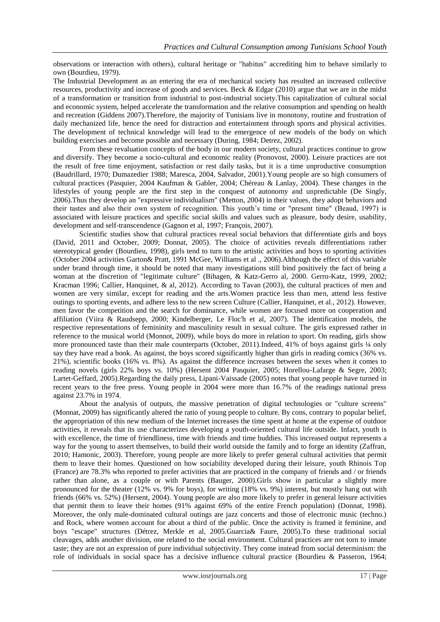observations or interaction with others), cultural heritage or "habitus" accrediting him to behave similarly to own (Bourdieu, 1979).

The Industrial Development as an entering the era of mechanical society has resulted an increased collective resources, productivity and increase of goods and services. Beck & Edgar (2010) argue that we are in the midst of a transformation or transition from industrial to post-industrial society.This capitalization of cultural social and economic system, helped accelerate the transformation and the relative consumption and spending on health and recreation (Giddens 2007).Therefore, the majority of Tunisians live in monotony, routine and frustration of daily mechanized life, hence the need for distraction and entertainment through sports and physical activities. The development of technical knowledge will lead to the emergence of new models of the body on which building exercises and become possible and necessary (During, 1984; Detrez, 2002).

From these revaluation concepts of the body in our modern society, cultural practices continue to grow and diversify. They become a socio-cultural and economic reality (Pronovost, 2000). Leisure practices are not the result of free time enjoyment, satisfaction or rest daily tasks, but it is a time unproductive consumption (Baudrillard, 1970; Dumazedier 1988; Maresca, 2004, Salvador, 2001).Young people are so high consumers of cultural practices (Pasquier, 2004 Kaufman & Gabler, 2004; Chéreau & Lanlay, 2004). These changes in the lifestyles of young people are the first step in the conquest of autonomy and unpredictable (De Singly, 2006).Thus they develop an "expressive individualism" (Metton, 2004) in their values, they adopt behaviors and their tastes and also their own system of recognition. This youth's time or "present time" (Beaud, 1997) is associated with leisure practices and specific social skills and values such as pleasure, body desire, usability, development and self-transcendence (Gagnon et al, 1997; François, 2007).

Scientific studies show that cultural practices reveal social behaviors that differentiate girls and boys (David, 2011 and October, 2009; Donnat, 2005). The choice of activities reveals differentiations rather stereotypical gender (Bourdieu, 1998), girls tend to turn to the artistic activities and boys to sporting activities (October 2004 activities Garton& Pratt, 1991 McGee, Williams et al ., 2006).Although the effect of this variable under brand through time, it should be noted that many investigations still bind positively the fact of being a woman at the discretion of "legitimate culture" (Bihagen, & Katz-Gerro al, 2000. Gerro-Katz, 1999, 2002; Kracman 1996; Callier, Hanquinet, & al, 2012). According to Tavan (2003), the cultural practices of men and women are very similar, except for reading and the arts.Women practice less than men, attend less festive outings to sporting events, and adhere less to the new screen Culture (Callier, Hanquinet, et al., 2012). However, men favor the competition and the search for dominance, while women are focused more on cooperation and affiliation (Viira & Raudsepp, 2000; Kindelberger, Le Floc'h et al, 2007). The identification models, the respective representations of femininity and masculinity result in sexual culture. The girls expressed rather in reference to the musical world (Monnot, 2009), while boys do more in relation to sport. On reading, girls show more pronounced taste than their male counterparts (October, 2011).Indeed, 41% of boys against girls ¼ only say they have read a book. As against, the boys scored significantly higher than girls in reading comics (36% vs. 21%), scientific books (16% vs. 8%). As against the difference increases between the sexes when it comes to reading novels (girls 22% boys vs. 10%) (Hersent 2004 Pasquier, 2005; Horellou-Lafarge & Segre, 2003; Lartet-Geffard, 2005).Regarding the daily press, Lipani-Vaissade (2005) notes that young people have turned in recent years to the free press. Young people in 2004 were more than 16.7% of the readings national press against 23.7% in 1974.

About the analysis of outputs, the massive penetration of digital technologies or "culture screens" (Monnat, 2009) has significantly altered the ratio of young people to culture. By cons, contrary to popular belief, the appropriation of this new medium of the Internet increases the time spent at home at the expense of outdoor activities, it reveals that its use characterizes developing a youth-oriented cultural life outside. Infact, youth is with excellence, the time of friendliness, time with friends and time buddies. This increased output represents a way for the young to assert themselves, to build their world outside the family and to forge an identity (Zaffran, 2010; Hamonic, 2003). Therefore, young people are more likely to prefer general cultural activities that permit them to leave their homes. Questioned on how sociability developed during their leisure, youth Rhinois Top (France) are 78.3% who reported to prefer activities that are practiced in the company of friends and / or friends rather than alone, as a couple or with Parents (Bauger, 2000).Girls show in particular a slightly more pronounced for the theater (12% vs. 9% for boys), for writing (18% vs. 9%) interest, but mostly hang out with friends (66% vs. 52%) (Hersent, 2004). Young people are also more likely to prefer in general leisure activities that permit them to leave their homes (91% against 69% of the entire French population) (Donnat, 1998). Moreover, the only male-dominated cultural outings are jazz concerts and those of electronic music (techno.) and Rock, where women account for about a third of the public. Once the activity is framed it feminine, and boys "escape" structures (Détrez, Merkle et al, 2005.Guarcia& Faure, 2005).To these traditional social cleavages, adds another division, one related to the social environment. Cultural practices are not torn to innate taste; they are not an expression of pure individual subjectivity. They come instead from social determinism: the role of individuals in social space has a decisive influence cultural practice (Bourdieu & Passeron, 1964;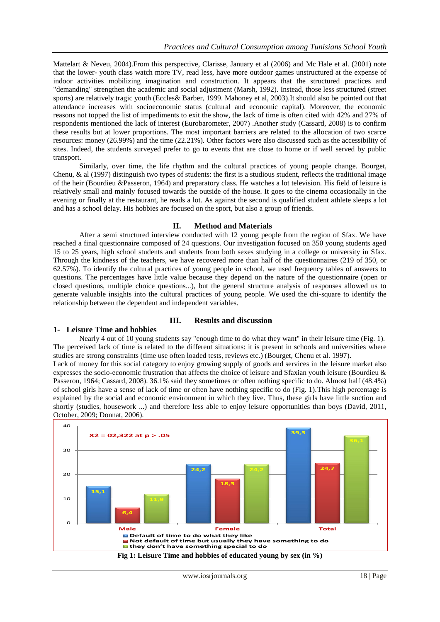Mattelart & Neveu, 2004).From this perspective, Clarisse, January et al (2006) and Mc Hale et al. (2001) note that the lower- youth class watch more TV, read less, have more outdoor games unstructured at the expense of indoor activities mobilizing imagination and construction. It appears that the structured practices and "demanding" strengthen the academic and social adjustment (Marsh, 1992). Instead, those less structured (street sports) are relatively tragic youth (Eccles& Barber, 1999. Mahoney et al, 2003).It should also be pointed out that attendance increases with socioeconomic status (cultural and economic capital). Moreover, the economic reasons not topped the list of impediments to exit the show, the lack of time is often cited with 42% and 27% of respondents mentioned the lack of interest (Eurobarometer, 2007) .Another study (Cassard, 2008) is to confirm these results but at lower proportions. The most important barriers are related to the allocation of two scarce resources: money (26.99%) and the time (22.21%). Other factors were also discussed such as the accessibility of sites. Indeed, the students surveyed prefer to go to events that are close to home or if well served by public transport.

Similarly, over time, the life rhythm and the cultural practices of young people change. Bourget, Chenu, & al (1997) distinguish two types of students: the first is a studious student, reflects the traditional image of the heir (Bourdieu &Passeron, 1964) and preparatory class. He watches a lot television. His field of leisure is relatively small and mainly focused towards the outside of the house. It goes to the cinema occasionally in the evening or finally at the restaurant, he reads a lot. As against the second is qualified student athlete sleeps a lot and has a school delay. His hobbies are focused on the sport, but also a group of friends.

#### **II. Method and Materials**

After a semi structured interview conducted with 12 young people from the region of Sfax. We have reached a final questionnaire composed of 24 questions. Our investigation focused on 350 young students aged 15 to 25 years, high school students and students from both sexes studying in a college or university in Sfax. Through the kindness of the teachers, we have recovered more than half of the questionnaires (219 of 350, or 62.57%). To identify the cultural practices of young people in school, we used frequency tables of answers to questions. The percentages have little value because they depend on the nature of the questionnaire (open or closed questions, multiple choice questions...), but the general structure analysis of responses allowed us to generate valuable insights into the cultural practices of young people. We used the chi-square to identify the relationship between the dependent and independent variables.

#### **III. Results and discussion**

## **1- Leisure Time and hobbies**

Nearly 4 out of 10 young students say "enough time to do what they want" in their leisure time (Fig. 1). The perceived lack of time is related to the different situations: it is present in schools and universities where studies are strong constraints (time use often loaded tests, reviews etc.) (Bourget, Chenu et al. 1997). Lack of money for this social category to enjoy growing supply of goods and services in the leisure market also expresses the socio-economic frustration that affects the choice of leisure and Sfaxian youth leisure (Bourdieu & Passeron, 1964; Cassard, 2008). 36.1% said they sometimes or often nothing specific to do. Almost half (48.4%) of school girls have a sense of lack of time or often have nothing specific to do (Fig. 1).This high percentage is explained by the social and economic environment in which they live. Thus, these girls have little suction and shortly (studies, housework ...) and therefore less able to enjoy leisure opportunities than boys (David, 2011, October, 2009; Donnat, 2006).

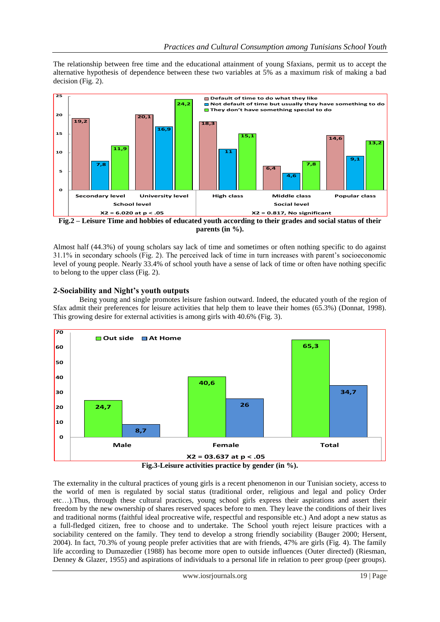The relationship between free time and the educational attainment of young Sfaxians, permit us to accept the alternative hypothesis of dependence between these two variables at 5% as a maximum risk of making a bad decision (Fig. 2).



**Fig.2 – Leisure Time and hobbies of educated youth according to their grades and social status of their parents (in %).**

Almost half (44.3%) of young scholars say lack of time and sometimes or often nothing specific to do against 31.1% in secondary schools (Fig. 2). The perceived lack of time in turn increases with parent's socioeconomic level of young people. Nearly 33.4% of school youth have a sense of lack of time or often have nothing specific to belong to the upper class (Fig. 2).

## **2-Sociability and Night's youth outputs**

Being young and single promotes leisure fashion outward. Indeed, the educated youth of the region of Sfax admit their preferences for leisure activities that help them to leave their homes (65.3%) (Donnat, 1998). This growing desire for external activities is among girls with 40.6% (Fig. 3).



The externality in the cultural practices of young girls is a recent phenomenon in our Tunisian society, access to the world of men is regulated by social status (traditional order, religious and legal and policy Order etc…).Thus, through these cultural practices, young school girls express their aspirations and assert their freedom by the new ownership of shares reserved spaces before to men. They leave the conditions of their lives and traditional norms (faithful ideal procreative wife, respectful and responsible etc.) And adopt a new status as a full-fledged citizen, free to choose and to undertake. The School youth reject leisure practices with a sociability centered on the family. They tend to develop a strong friendly sociability (Bauger 2000; Hersent, 2004). In fact, 70.3% of young people prefer activities that are with friends, 47% are girls (Fig. 4). The family life according to Dumazedier (1988) has become more open to outside influences (Outer directed) (Riesman, Denney & Glazer, 1955) and aspirations of individuals to a personal life in relation to peer group (peer groups).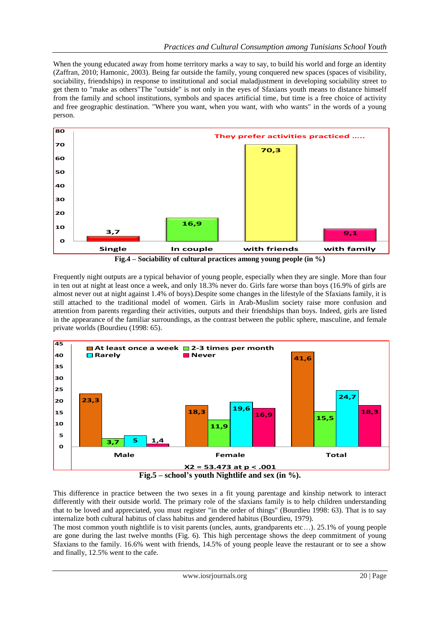When the young educated away from home territory marks a way to say, to build his world and forge an identity (Zaffran, 2010; Hamonic, 2003). Being far outside the family, young conquered new spaces (spaces of visibility, sociability, friendships) in response to institutional and social maladjustment in developing sociability street to get them to "make as others"The "outside" is not only in the eyes of Sfaxians youth means to distance himself from the family and school institutions, symbols and spaces artificial time, but time is a free choice of activity and free geographic destination. "Where you want, when you want, with who wants" in the words of a young person.



Frequently night outputs are a typical behavior of young people, especially when they are single. More than four in ten out at night at least once a week, and only 18.3% never do. Girls fare worse than boys (16.9% of girls are almost never out at night against 1.4% of boys).Despite some changes in the lifestyle of the Sfaxians family, it is still attached to the traditional model of women. Girls in Arab-Muslim society raise more confusion and attention from parents regarding their activities, outputs and their friendships than boys. Indeed, girls are listed in the appearance of the familiar surroundings, as the contrast between the public sphere, masculine, and female private worlds (Bourdieu (1998: 65).



This difference in practice between the two sexes in a fit young parentage and kinship network to interact differently with their outside world. The primary role of the sfaxians family is to help children understanding that to be loved and appreciated, you must register "in the order of things" (Bourdieu 1998: 63). That is to say internalize both cultural habitus of class habitus and gendered habitus (Bourdieu, 1979).

The most common youth nightlife is to visit parents (uncles, aunts, grandparents etc…). 25.1% of young people are gone during the last twelve months (Fig. 6). This high percentage shows the deep commitment of young Sfaxians to the family. 16.6% went with friends, 14.5% of young people leave the restaurant or to see a show and finally, 12.5% went to the cafe.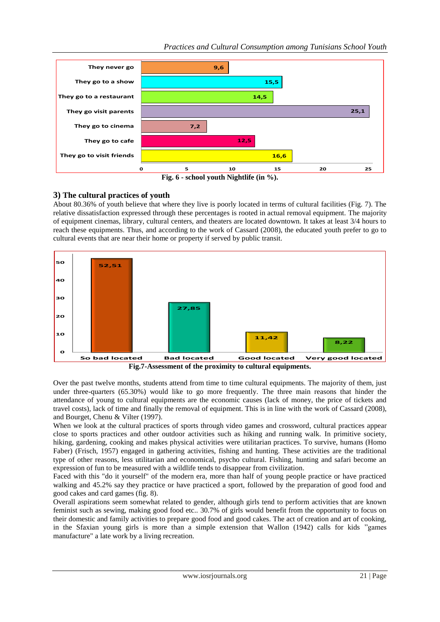

## **3) The cultural practices of youth**

About 80.36% of youth believe that where they live is poorly located in terms of cultural facilities (Fig. 7). The relative dissatisfaction expressed through these percentages is rooted in actual removal equipment. The majority of equipment cinemas, library, cultural centers, and theaters are located downtown. It takes at least 3/4 hours to reach these equipments. Thus, and according to the work of Cassard (2008), the educated youth prefer to go to cultural events that are near their home or property if served by public transit.



**Fig.7-Assessment of the proximity to cultural equipments.**

Over the past twelve months, students attend from time to time cultural equipments. The majority of them, just under three-quarters (65.30%) would like to go more frequently. The three main reasons that hinder the attendance of young to cultural equipments are the economic causes (lack of money, the price of tickets and travel costs), lack of time and finally the removal of equipment. This is in line with the work of Cassard (2008), and Bourget, Chenu & Vilter (1997).

When we look at the cultural practices of sports through video games and crossword, cultural practices appear close to sports practices and other outdoor activities such as hiking and running walk. In primitive society, hiking, gardening, cooking and makes physical activities were utilitarian practices. To survive, humans (Homo Faber) (Frisch, 1957) engaged in gathering activities, fishing and hunting. These activities are the traditional type of other reasons, less utilitarian and economical, psycho cultural. Fishing, hunting and safari become an expression of fun to be measured with a wildlife tends to disappear from civilization.

Faced with this "do it yourself" of the modern era, more than half of young people practice or have practiced walking and 45.2% say they practice or have practiced a sport, followed by the preparation of good food and good cakes and card games (fig. 8).

Overall aspirations seem somewhat related to gender, although girls tend to perform activities that are known feminist such as sewing, making good food etc.. 30.7% of girls would benefit from the opportunity to focus on their domestic and family activities to prepare good food and good cakes. The act of creation and art of cooking, in the Sfaxian young girls is more than a simple extension that Wallon (1942) calls for kids "games manufacture" a late work by a living recreation.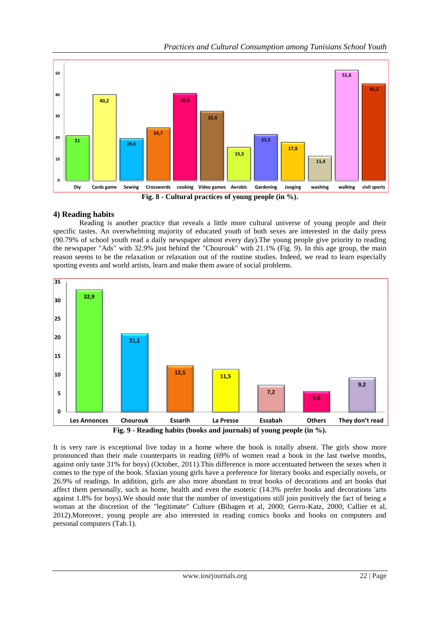

## **4) Reading habits**

Reading is another practice that reveals a little more cultural universe of young people and their specific tastes. An overwhelming majority of educated youth of both sexes are interested in the daily press (90.79% of school youth read a daily newspaper almost every day).The young people give priority to reading the newspaper "Ads" with 32.9% just behind the "Chourouk" with 21.1% (Fig. 9). In this age group, the main reason seems to be the relaxation or relaxation out of the routine studies. Indeed, we read to learn especially sporting events and world artists, learn and make them aware of social problems.



It is very rare is exceptional live today in a home where the book is totally absent. The girls show more pronounced than their male counterparts in reading (69% of women read a book in the last twelve months, against only taste 31% for boys) (October, 2011).This difference is more accentuated between the sexes when it comes to the type of the book. Sfaxian young girls have a preference for literary books and especially novels, or 26.9% of readings. In addition, girls are also more abundant to treat books of decorations and art books that affect them personally, such as home, health and even the esoteric (14.3% prefer books and decorations 'arts against 1.8% for boys).We should note that the number of investigations still join positively the fact of being a woman at the discretion of the "legitimate" Culture (Bihagen et al, 2000; Gerro-Katz, 2000; Callier et al, 2012).Moreover, young people are also interested in reading comics books and books on computers and personal computers (Tab.1).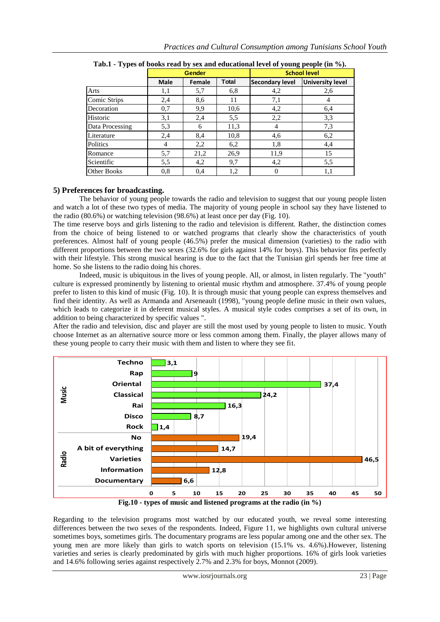| υr                 |               |        |              | $\sim$ $\sim$          |                         |
|--------------------|---------------|--------|--------------|------------------------|-------------------------|
|                    | <b>Gender</b> |        |              | <b>School level</b>    |                         |
|                    | Male          | Female | <b>Total</b> | <b>Secondary level</b> | <b>University level</b> |
| Arts               | 1,1           | 5,7    | 6,8          | 4,2                    | 2.6                     |
| Comic Strips       | 2,4           | 8,6    | 11           | 7,1                    | 4                       |
| Decoration         | 0.7           | 9,9    | 10,6         | 4,2                    | 6,4                     |
| Historic           | 3,1           | 2,4    | 5,5          | 2,2                    | 3,3                     |
| Data Processing    | 5,3           | 6      | 11,3         | 4                      | 7,3                     |
| Literature         | 2,4           | 8,4    | 10,8         | 4,6                    | 6,2                     |
| Politics           | 4             | 2,2    | 6,2          | 1,8                    | 4,4                     |
| Romance            | 5,7           | 21,2   | 26,9         | 11,9                   | 15                      |
| Scientific         | 5.5           | 4,2    | 9,7          | 4,2                    | 5,5                     |
| <b>Other Books</b> | 0.8           | 0,4    | 1,2          | 0                      | 1,1                     |

**Tab.1 - Types of books read by sex and educational level of young people (in %).**

## **5) Preferences for broadcasting.**

The behavior of young people towards the radio and television to suggest that our young people listen and watch a lot of these two types of media. The majority of young people in school say they have listened to the radio (80.6%) or watching television (98.6%) at least once per day (Fig. 10).

The time reserve boys and girls listening to the radio and television is different. Rather, the distinction comes from the choice of being listened to or watched programs that clearly show the characteristics of youth preferences. Almost half of young people (46.5%) prefer the musical dimension (varieties) to the radio with different proportions between the two sexes (32.6% for girls against 14% for boys). This behavior fits perfectly with their lifestyle. This strong musical hearing is due to the fact that the Tunisian girl spends her free time at home. So she listens to the radio doing his chores.

Indeed, music is ubiquitous in the lives of young people. All, or almost, in listen regularly. The "youth" culture is expressed prominently by listening to oriental music rhythm and atmosphere. 37.4% of young people prefer to listen to this kind of music (Fig. 10). It is through music that young people can express themselves and find their identity. As well as Armanda and Arseneault (1998), "young people define music in their own values, which leads to categorize it in deferent musical styles. A musical style codes comprises a set of its own, in addition to being characterized by specific values ".

After the radio and television, disc and player are still the most used by young people to listen to music. Youth choose Internet as an alternative source more or less common among them. Finally, the player allows many of these young people to carry their music with them and listen to where they see fit.



Regarding to the television programs most watched by our educated youth, we reveal some interesting differences between the two sexes of the respondents. Indeed, Figure 11, we highlights own cultural universe sometimes boys, sometimes girls. The documentary programs are less popular among one and the other sex. The young men are more likely than girls to watch sports on television (15.1% vs. 4.6%).However, listening varieties and series is clearly predominated by girls with much higher proportions. 16% of girls look varieties and 14.6% following series against respectively 2.7% and 2.3% for boys, Monnot (2009).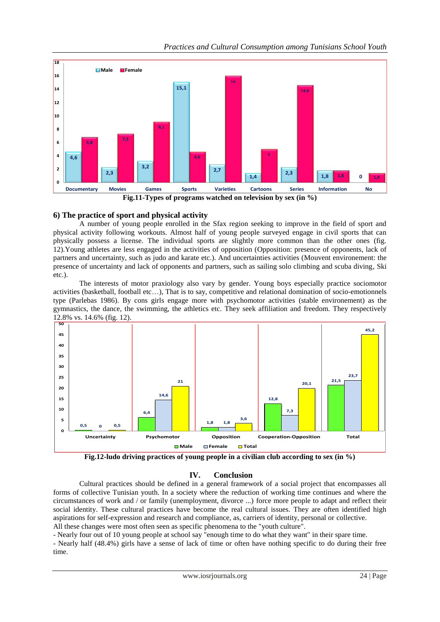

**6) The practice of sport and physical activity**

**3,2**

**2,3**

**4,6**

**0 2 4**

A number of young people enrolled in the Sfax region seeking to improve in the field of sport and physical activity following workouts. Almost half of young people surveyed engage in civil sports that can physically possess a license. The individual sports are slightly more common than the other ones (fig. 12).Young athletes are less engaged in the activities of opposition (Opposition: presence of opponents, lack of partners and uncertainty, such as judo and karate etc.). And uncertainties activities (Mouvent environement: the presence of uncertainty and lack of opponents and partners, such as sailing solo climbing and scuba diving, Ski etc.).

**Fig.11-Types of programs watched on television by sex (in %)**

**Documentary Movies Games Sports Varieties Cartoons Series Information No**

**1,4**

**5**

**2,3 1,8 <sup>0</sup>**

 $1,8$  **0**  $1,4$ 

**2,7**

**4,6**

The interests of motor praxiology also vary by gender. Young boys especially practice sociomotor activities (basketball, football etc…), That is to say, competitive and relational domination of socio-emotionnels type (Parlebas 1986). By cons girls engage more with psychomotor activities (stable environement) as the gymnastics, the dance, the swimming, the athletics etc. They seek affiliation and freedom. They respectively 12.8% vs. 14.6% (fig. 12).



**Fig.12-ludo driving practices of young people in a civilian club according to sex (in %)**

# **IV. Conclusion**

Cultural practices should be defined in a general framework of a social project that encompasses all forms of collective Tunisian youth. In a society where the reduction of working time continues and where the circumstances of work and / or family (unemployment, divorce ...) force more people to adapt and reflect their social identity. These cultural practices have become the real cultural issues. They are often identified high aspirations for self-expression and research and compliance, as, carriers of identity, personal or collective. All these changes were most often seen as specific phenomena to the "youth culture".

- Nearly four out of 10 young people at school say "enough time to do what they want" in their spare time.

- Nearly half (48.4%) girls have a sense of lack of time or often have nothing specific to do during their free time.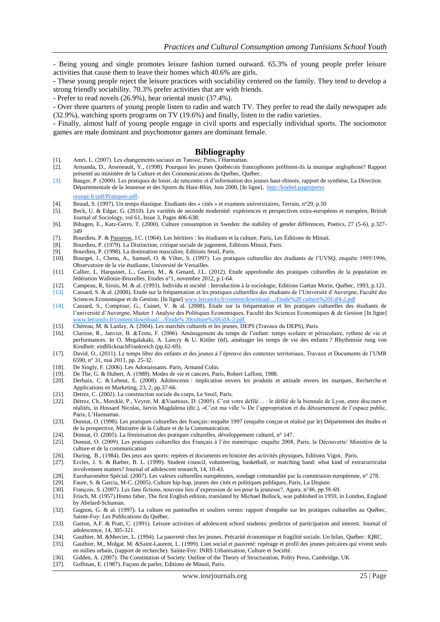- Being young and single promotes leisure fashion turned outward. 65.3% of young people prefer leisure activities that cause them to leave their homes which 40.6% are girls.

- These young people reject the leisure practices with sociability centered on the family. They tend to develop a strong friendly sociability. 70.3% prefer activities that are with friends.

- Prefer to read novels (26.9%), hear oriental music (37.4%).

- Over three quarters of young people listen to radio and watch TV. They prefer to read the daily newspaper ads (32.9%), watching sports programs on TV (19.6%) and finally, listen to the radio varieties.

- Finally, almost half of young people engage in civil sports and especially individual sports. The sociomotor games are male dominant and psychomotor games are dominant female.

#### **Bibliography**

- [1]. Amri, L. (2007). Les changements sociaux en Tunisie, Paris, l'Harmattan.
- [2]. Armanda, D., Arseneault, Y., (1998). Pourquoi les jeunes Québécois francophones préfèrent-ils la musique anglophone? Rapport présenté au ministère de la Culture et des Communications du Québec, Québec.
- [3]. Bauger, P. (2000). Les pratiques de loisir, de rencontre et d'information des jeunes haut-rhinois, rapport de synthèse, La Direction Départementale de la Jeunesse et des Sports du Haut-Rhin, Juin 2000, [In ligne], http://koebel.pagesperso orange.fr/pdf/Pratiques.pdf.
- [4]. Beaud, S. (1997). Un temps élastique. Etudiants des « cités » et examens universitaires, Terrain, n°29, p.50 [5]. Beck, U. & Edgar, G. (2010)[. Les variétés de seconde modernité: expériences et perspectives extra-européens et européen,](http://onlinelibrary.wiley.com/doi/10.1111/bjos.2010.61.issue-3/issuetoc) British
- Journal of Sociology, vol 61, Issue 3, Pages 406-638.
- [6]. Bihagen, E., Katz-Gerro, T. (2000). Culture consumption in Sweden: the stability of gender differences, Poetics, 27 (5-6), p.327- 349
- [7]. Bourdieu, P. & [Passeron,](http://fr.wikipedia.org/wiki/Jean-Claude_Passeron) J.C. (1964)[. Les héritiers : les étudiants et la culture,](http://fr.wikipedia.org/wiki/Les_H%C3%A9ritiers_(sociologie)) Paris, Les Éditions de Minuit.
- [8]. Bourdieu, P. (1979). La Distinction, critique sociale de jugement, Editions Minuit, Paris.
- [9]. Bourdieu, P. (1998). La domination masculine, Editions Seuil, Paris.
- [10]. Bourget, J., Chenu, A., Samuel, O. & Vilter, S. (1997). Les pratiques culturelles des étudiants de l'UVSQ, enquête 1995/1996, Observatoire de la vie étudiante, Université de Versailles.
- [11]. Callier, L. Harquinet, L., Guerin, M., & Genard, J.L. (2012). Etude approfondie des pratiques culturelles de la population en fédération Wallonie-Bruxelles, Etudes n°1, novembre 2012, p.1-64.
- [12]. Campeau, R, Sirois, M. & al. (1993). Individu et société : Introduction à la sociologie, Editions Gaëtan Morin, Québec, 1993, p.121.
- [13]. Cassard, S. & al. (2008). Etude sur la fréquentation et les pratiques culturelles des étudiants de l'Université d'Auvergne, Faculté des Sciences Economique et de Gestion. [In ligne[\] www.letransfo.fr/content/download/.../Etude%20](http://www.letransfo.fr/content/download/.../Etude) *culture%20UdA-2.pdf*
- [14]. Cassard, S., Comptour, G., Cuinet, V. & al. (2008). Etude sur la fréquentation et les pratiques culturelles des étudiants de l'université d'Auvergne, Master 1 Analyse des Politiques Economiques, Faculté des Sciences Economiques & de Gestion [In ligne] [www.letransfo.fr/content/download/.../Etude%](http://www.letransfo.fr/content/download/.../Etude%25) 20culture%20UdA-2.pdf.
- [15]. Chéreau, M. & Lanlay, A. (2004). Les marchés culturels et les jeunes, DEPS (Travaux du DEPS), Paris.
- [16]. Clarisse, R., Janvier, B. &Testu, F. (2006). Aménagement du temps de l'enfant: temps scolaire et périscolaire, rythme de vie et performances. In O. Megalakaki, A. Lancry & U. Kittler (éd), aménager les temps de vie des enfants ? Rhythmisie rung von Kindheit: einBlicknachFrankreich (pp.62-69).
- [17]. David, O., (2011). Le temps libre des enfants et des jeunes à l'épreuve des contextes territoriaux, Travaux et Documents de l'UMR 6590, n° 31, mai 2011, pp. 25-32.
- [18]. De Singly, F. (2006). Les Adonaissants. Paris, Armand Colin.
- [19]. De The, G. & Hubert, A. (1988). Modes de vie et cancers, Paris, Robert Laffont, 1988.
- [20]. Derbaix, C. & Leheut, E. (2008). Adolescents : implication envers les produits et attitude envers les marques, Recherche et Applications en Marketing, 23, 2, pp.37-66.
- [21]. Detrez, C. (2002). La construction sociale du corps, Le Seuil, Paris.
- [22]. Détrez, Ch., Mercklé, P., Veyret, M. &Vuattoux, D. (2005). C'est votre défilé… : le défilé de la biennale de Lyon, entre discours et réalités, in Hossard Nicolas, Jarvin Magdalena (dir.), «C'est ma ville !» De l'appropriation et du détournement de l'espace public, Paris, L'Harmattan.
- [23]. Donnat, O. (1998). Les pratiques culturelles des français: enquête 1997 (enquête conçue et réalisé par le) Département des études et de la prospective, Ministère de la Culture et de la Communication.
- [24]. Donnat, O. (2005). La féminisation des pratiques culturelles, développement culturel, n° 147.
- [25]. Donnat, O. (2009). Les pratiques culturelles des Français à l'ère numérique: enquête 2008, Paris, la Découverte/ Ministère de la culture et de la communication
- [26]. During, B., (1984). Des jeux aux sports: repères et documents en histoire des activités physiques, Editions Vigot, Paris.
- [27]. Eccles, J. S. & Barber, B. L. (1999). Student council, volunteering, basketball, or matching band: what kind of extracurricular involvement matters? Journal of adolescent research, 14, 10-43.
- [28]. Eurobaromètre Spécial. (2007). Les valeurs culturelles européennes, sondage commandité par la commission européenne, n° 278.
- [29]. Faure, S. & Garcia, M-C. (2005). Culture hip-hop, jeunes des cités et politiques publiques, Paris, La Dispute. [30]. François, S. (2007). Les fans fictions, nouveau lieu d'expression de soi pour la jeunesse?, Agora,
- [30]. François, S. (2007). Les fans fictions, nouveau lieu d'expression de soi pour la jeunesse?, Agora, n°46, pp.58-69.
- [31]. Frisch, M. (1957).Homo faber*,* The first English edition, translated by Michael Bullock, was published in 1959, i[n London, England](http://en.wikipedia.org/wiki/London,_England) by Abelard-Schuman.
- [32]. Gagnon, G. & al. (1997). La culture en pantoufles et souliers vernis: rapport d'enquête sur les pratiques culturelles au Québec, Sainte-Foy: Les Publications du Québec.
- [33]. Garton, A.F. & Pratt, C. (1991). Leisure activities of adolescent school students: predictor of participation and interest. Journal of adolescence, 14, 305-321.
- [34]. Gauthier, M. &Mercier, L. (1994). La pauvreté chez les jeunes. Précarité économique et fragilité sociale. Un bilan, Québec: IQRC.
- [35]. Gauthier, M., Molgat. M. &Saint-Laurent, L. (1999). Lien social et pauvreté: repérage et profil des jeunes précaires qui vivent seuls en milieu urbain, (rapport de recherche). Sainte-Foy: INRS Urbanisation, Culture et Société.
- [36]. Gidden, A. (2007). The Constitution of Society: Outline of the Theory of Structuration, Polity Press, Cambridge, UK<br>[37]. Goffman, E. (1987). Facons de parler. Editions de Minuit. Paris.
- [37]. Goffman, E. (1987). Façons de parler, Editions de Minuit, Paris.